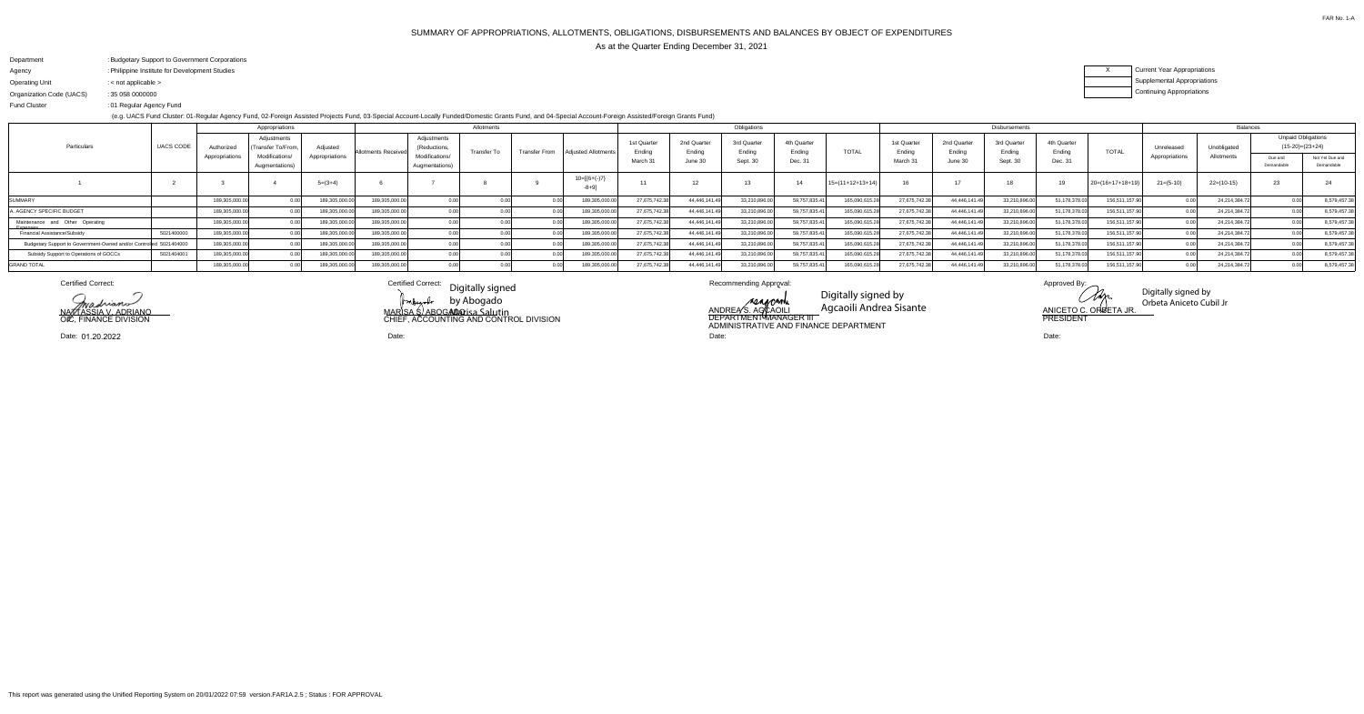# SUMMARY OF APPROPRIATIONS, ALLOTMENTS, OBLIGATIONS, DISBURSEMENTS AND BALANCES BY OBJECT OF EXPENDITURESAs at the Quarter Ending December 31, 2021

FAR No. 1-A

seascanh

| Department               | : Budgetary Support to Government Corporations |
|--------------------------|------------------------------------------------|
| Agency                   | : Philippine Institute for Development Studies |
| <b>Operating Unit</b>    | : $\lt$ not applicable $\gt$                   |
| Organization Code (UACS) | : 35 058 0000000                               |
| <b>Fund Cluster</b>      | :01 Regular Agency Fund                        |

(e.g. UACS Fund Cluster: 01-Regular Agency Fund, 02-Foreign Assisted Projects Fund, 03-Special Account-Locally Funded/Domestic Grants Fund, and 04-Special Account-Foreign Assisted/Foreign Grants Fund)

### XCurrent Year AppropriationsSupplemental AppropriationsContinuing Appropriations

|                                                                         |  |                              | Appropriations                   |                |                    |                                  | Allotments         |  |                                     |                       |                       | Obligations           |                       |                    | Disbursements         |                       |                       |                       |                    |             | <b>Balances</b>       |                                                |              |  |  |
|-------------------------------------------------------------------------|--|------------------------------|----------------------------------|----------------|--------------------|----------------------------------|--------------------|--|-------------------------------------|-----------------------|-----------------------|-----------------------|-----------------------|--------------------|-----------------------|-----------------------|-----------------------|-----------------------|--------------------|-------------|-----------------------|------------------------------------------------|--------------|--|--|
| <b>UACS CODE</b><br>Particulars                                         |  | Authorized<br>Appropriations | Adjustments<br>Transfer To/From. | Adiusted       | Allotments Receive | Adjustments<br>(Reductions,      | <b>Transfer To</b> |  | Transfer From   Adjusted Allotments | 1st Quarter<br>Endina | 2nd Quarter<br>Ending | 3rd Quarter<br>:ndina | 4th Quarter<br>Ending | <b>TOTAL</b>       | 1st Quarter<br>Ending | 2nd Quarter<br>Ending | 3rd Quarter<br>Ending | 4th Quarter<br>Ending | <b>TOTAL</b>       | Unreleased  | Unobligated           | <b>Unpaid Obligations</b><br>$(15-20)=(23+24)$ |              |  |  |
|                                                                         |  |                              | Modifications/<br>Augmentations) | Appropriations |                    | Modifications/<br>Augmentations) |                    |  | March 3                             | June 30               | Sept. 30              | Dec. 31               |                       | March <sub>3</sub> | June 30               | Sept. 30              | Dec. 31               |                       | Appropriations     | Allotments  | Due and<br>Demandable | Not Yet Due and<br>Demandable                  |              |  |  |
|                                                                         |  |                              |                                  | $5=(3+4)$      |                    |                                  |                    |  | $10=[6+(-)7]$<br>$-8 + 9$ ]         |                       | 12                    |                       |                       | $15=(11+12+13+14)$ |                       |                       |                       |                       | $20=(16+17+18+19)$ | $21=(5-10)$ | $22=(10-15)$          | 23                                             |              |  |  |
| <b>SUMMARY</b>                                                          |  | 189,305,000.0                |                                  | 189,305,000.0  | 189,305,000.00     |                                  |                    |  | 189,305,000.0                       | 27,675,742.38         | 44,446,141.49         | 33,210,896.0          | 59,757,835.4          | 165,090,615.2      | 27,675,742.3          | 44,446,141.4          | 33,210,896.0          | 51,178,378.0.         | 156,511,157.90     |             | 24,214,384.           |                                                | 8,579,457.38 |  |  |
| A. AGENCY SPECIFIC BUDGET                                               |  | 189,305,000.00               |                                  | 189,305,000.00 | 189,305,000.00     |                                  |                    |  | 189,305,000.00                      | 27,675,742.38         | 44,446,141.49         | 33,210,896.0          | 59,757,835.4          | 165,090,615.2      | 27,675,742.3          | 44,446,141.49         | 33,210,896.00         | 51,178,378.0          | 156,511,157.90     |             | 24,214,384.7          |                                                | 8,579,457.38 |  |  |
| Maintenance and Other Operating                                         |  | 189.305.000.00               |                                  | 189,305,000.0  | 189,305,000.00     |                                  |                    |  | 189,305,000.0                       | 27,675,742.38         | 44,446,141.49         | 33,210,896.0          | 59,757,835.4          | 165,090,615.2      | 27,675,742.38         | 44,446,141.49         | 33,210,896.00         | 1,178,378.0           | 156,511,157.90     |             | 24,214,384.7          |                                                | 8,579,457.38 |  |  |
| 5021400000<br>Financial Assistance/Subsidy                              |  | 189,305,000.00               |                                  | 189,305,000.00 | 189,305,000.00     |                                  |                    |  | 189,305,000.00                      | 27,675,742.38         | 44,446,141.49         | 33,210,896.00         | 59,757,835.4          | 165,090,615.2      | 27,675,742.38         | 44,446,141.49         | 33,210,896.00         | 51,178,378.0          | 156,511,157.90     |             | 24,214,384.7          |                                                | 8,579,457.38 |  |  |
| Budgetary Support to Government-Owned and/or Controlled 5<br>5021404000 |  | 189,305,000.00               |                                  | 189,305,000.00 | 189,305,000.00     |                                  |                    |  | 189,305,000.0                       | 27,675,742.38         | 44,446,141.49         | 33,210,896.00         | 59,757,835.4          | 165,090,615.2      | 27,675,742.38         | 44,446,141.49         | 33,210,896.00         | 1,178,378.0           | 156,511,157.90     |             | 24,214,384.7          |                                                | 8,579,457.38 |  |  |
| 5021404001<br>Subsidy Support to Operations of GOCCs                    |  | 189,305,000.00               |                                  | 189,305,000.00 | 189,305,000.00     |                                  |                    |  | 189,305,000.00                      | 27,675,742.38         | 44,446,141.49         | 33,210,896.0          | 59,757,835.4          | 165,090,615.2      | 27,675,742.3          | 44,446,141.49         | 33,210,896.00         | 51,178,378.0          | 156,511,157.90     |             | 24,214,384.7          |                                                | 8,579,457.38 |  |  |
| <b>GRAND TOTAL</b>                                                      |  | 189,305,000.0                |                                  | 189,305,000.0  | 189,305,000.00     |                                  |                    |  | 189,305,000.0                       | 27,675,742.38         | 44,446,141.           | 33,210,896.0          | 59,757,835.           | 165,090,615.       | 27,675,742.3          | 44,446,141.49         | 33,210,896.00         | 1,178,378.0           | 156,511,157.90     |             | 24,214,384.7          |                                                | 8,579,457.38 |  |  |

Certified Correct:

NAZZTASSIA V. ADRIANO O**I**C, FINANCE DIVISION

extified Correct: Digitally signed Recommending Approval: Approved By: Approved By: Approved By: Approved By: Approved By: Approved By: Approved By: Approved By: Approved By: Approved By: Approved By: Approved By: Approved MARISA S/ ABOG**ADO**  CHIEF, ACCOUNTING AND CONTROL DIVISIONby Abogado **Mar**isa Salutin

Date:

 Date: Date: ANDREA S. AGCAOILI DEPARTMENT MANAGER III ADMINISTRATIVE AND FINANCE DEPARTMENT

Shin <u>ANICETO C. ORBETA JR.</u><br>PRESIDENT

Date:01.20.2022

Digitally signed by Agcaoili Andrea Sisante

Digitally signed by Orbeta Aniceto Cubil Jr